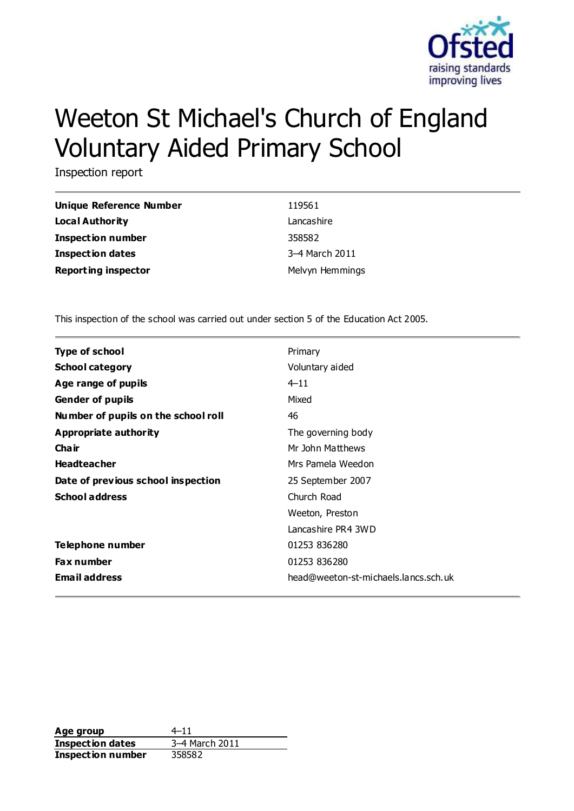

# Weeton St Michael's Church of England Voluntary Aided Primary School

Inspection report

| Unique Reference Number    | 119561          |
|----------------------------|-----------------|
| Local Authority            | Lancashire      |
| <b>Inspection number</b>   | 358582          |
| <b>Inspection dates</b>    | 3-4 March 2011  |
| <b>Reporting inspector</b> | Melvyn Hemmings |

This inspection of the school was carried out under section 5 of the Education Act 2005.

| <b>Type of school</b>               | Primary                              |
|-------------------------------------|--------------------------------------|
| <b>School category</b>              | Voluntary aided                      |
| Age range of pupils                 | $4 - 11$                             |
| <b>Gender of pupils</b>             | Mixed                                |
| Number of pupils on the school roll | 46                                   |
| Appropriate authority               | The governing body                   |
| Cha ir                              | Mr John Matthews                     |
| <b>Headteacher</b>                  | Mrs Pamela Weedon                    |
| Date of previous school inspection  | 25 September 2007                    |
| <b>School address</b>               | Church Road                          |
|                                     | Weeton, Preston                      |
|                                     | Lancashire PR4 3WD                   |
| Telephone number                    | 01253 836280                         |
| <b>Fax number</b>                   | 01253 836280                         |
| <b>Email address</b>                | head@weeton-st-michaels.lancs.sch.uk |

**Age group** 4–11 **Inspection dates** 3–4 March 2011 **Inspection number** 358582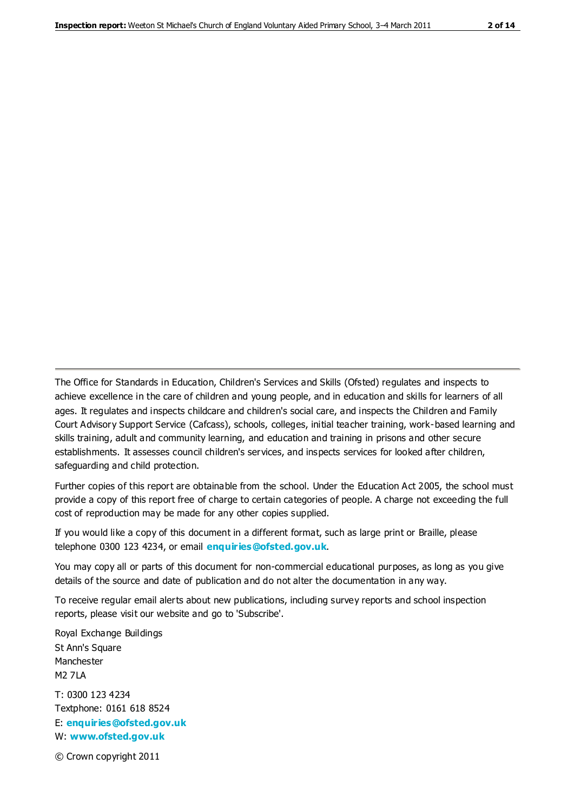The Office for Standards in Education, Children's Services and Skills (Ofsted) regulates and inspects to achieve excellence in the care of children and young people, and in education and skills for learners of all ages. It regulates and inspects childcare and children's social care, and inspects the Children and Family Court Advisory Support Service (Cafcass), schools, colleges, initial teacher training, work-based learning and skills training, adult and community learning, and education and training in prisons and other secure establishments. It assesses council children's services, and inspects services for looked after children, safeguarding and child protection.

Further copies of this report are obtainable from the school. Under the Education Act 2005, the school must provide a copy of this report free of charge to certain categories of people. A charge not exceeding the full cost of reproduction may be made for any other copies supplied.

If you would like a copy of this document in a different format, such as large print or Braille, please telephone 0300 123 4234, or email **[enquiries@ofsted.gov.uk](mailto:enquiries@ofsted.gov.uk)**.

You may copy all or parts of this document for non-commercial educational purposes, as long as you give details of the source and date of publication and do not alter the documentation in any way.

To receive regular email alerts about new publications, including survey reports and school inspection reports, please visit our website and go to 'Subscribe'.

Royal Exchange Buildings St Ann's Square Manchester M2 7LA T: 0300 123 4234 Textphone: 0161 618 8524 E: **[enquiries@ofsted.gov.uk](mailto:enquiries@ofsted.gov.uk)**

W: **[www.ofsted.gov.uk](http://www.ofsted.gov.uk/)**

© Crown copyright 2011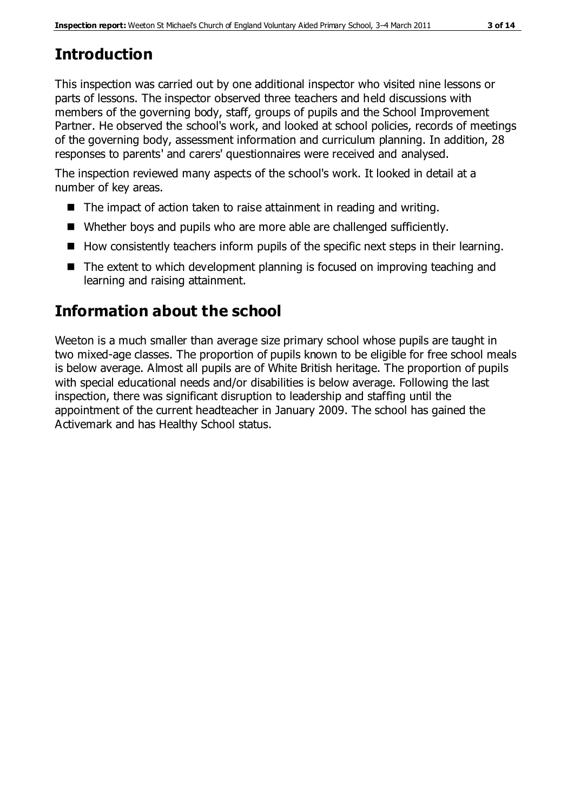# **Introduction**

This inspection was carried out by one additional inspector who visited nine lessons or parts of lessons. The inspector observed three teachers and held discussions with members of the governing body, staff, groups of pupils and the School Improvement Partner. He observed the school's work, and looked at school policies, records of meetings of the governing body, assessment information and curriculum planning. In addition, 28 responses to parents' and carers' questionnaires were received and analysed.

The inspection reviewed many aspects of the school's work. It looked in detail at a number of key areas.

- The impact of action taken to raise attainment in reading and writing.
- Whether boys and pupils who are more able are challenged sufficiently.
- $\blacksquare$  How consistently teachers inform pupils of the specific next steps in their learning.
- The extent to which development planning is focused on improving teaching and learning and raising attainment.

## **Information about the school**

Weeton is a much smaller than average size primary school whose pupils are taught in two mixed-age classes. The proportion of pupils known to be eligible for free school meals is below average. Almost all pupils are of White British heritage. The proportion of pupils with special educational needs and/or disabilities is below average. Following the last inspection, there was significant disruption to leadership and staffing until the appointment of the current headteacher in January 2009. The school has gained the Activemark and has Healthy School status.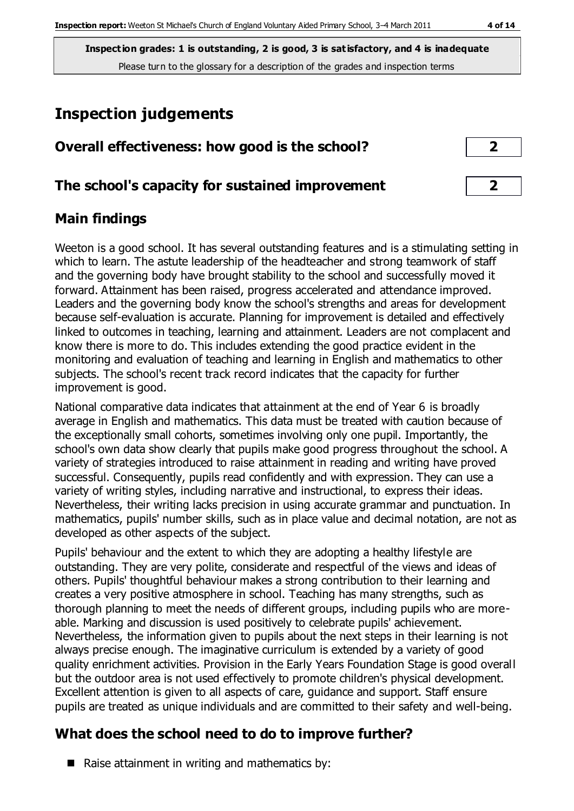**Inspection grades: 1 is outstanding, 2 is good, 3 is satisfactory, and 4 is inadequate** Please turn to the glossary for a description of the grades and inspection terms

# **Inspection judgements**

| Overall effectiveness: how good is the school? |  |  |  |
|------------------------------------------------|--|--|--|
|                                                |  |  |  |

#### **The school's capacity for sustained improvement 2**

### **Main findings**

Weeton is a good school. It has several outstanding features and is a stimulating setting in which to learn. The astute leadership of the headteacher and strong teamwork of staff and the governing body have brought stability to the school and successfully moved it forward. Attainment has been raised, progress accelerated and attendance improved. Leaders and the governing body know the school's strengths and areas for development because self-evaluation is accurate. Planning for improvement is detailed and effectively linked to outcomes in teaching, learning and attainment. Leaders are not complacent and know there is more to do. This includes extending the good practice evident in the monitoring and evaluation of teaching and learning in English and mathematics to other subjects. The school's recent track record indicates that the capacity for further improvement is good.

National comparative data indicates that attainment at the end of Year 6 is broadly average in English and mathematics. This data must be treated with caution because of the exceptionally small cohorts, sometimes involving only one pupil. Importantly, the school's own data show clearly that pupils make good progress throughout the school. A variety of strategies introduced to raise attainment in reading and writing have proved successful. Consequently, pupils read confidently and with expression. They can use a variety of writing styles, including narrative and instructional, to express their ideas. Nevertheless, their writing lacks precision in using accurate grammar and punctuation. In mathematics, pupils' number skills, such as in place value and decimal notation, are not as developed as other aspects of the subject.

Pupils' behaviour and the extent to which they are adopting a healthy lifestyle are outstanding. They are very polite, considerate and respectful of the views and ideas of others. Pupils' thoughtful behaviour makes a strong contribution to their learning and creates a very positive atmosphere in school. Teaching has many strengths, such as thorough planning to meet the needs of different groups, including pupils who are moreable. Marking and discussion is used positively to celebrate pupils' achievement. Nevertheless, the information given to pupils about the next steps in their learning is not always precise enough. The imaginative curriculum is extended by a variety of good quality enrichment activities. Provision in the Early Years Foundation Stage is good overall but the outdoor area is not used effectively to promote children's physical development. Excellent attention is given to all aspects of care, guidance and support. Staff ensure pupils are treated as unique individuals and are committed to their safety and well-being.

## **What does the school need to do to improve further?**

Raise attainment in writing and mathematics by: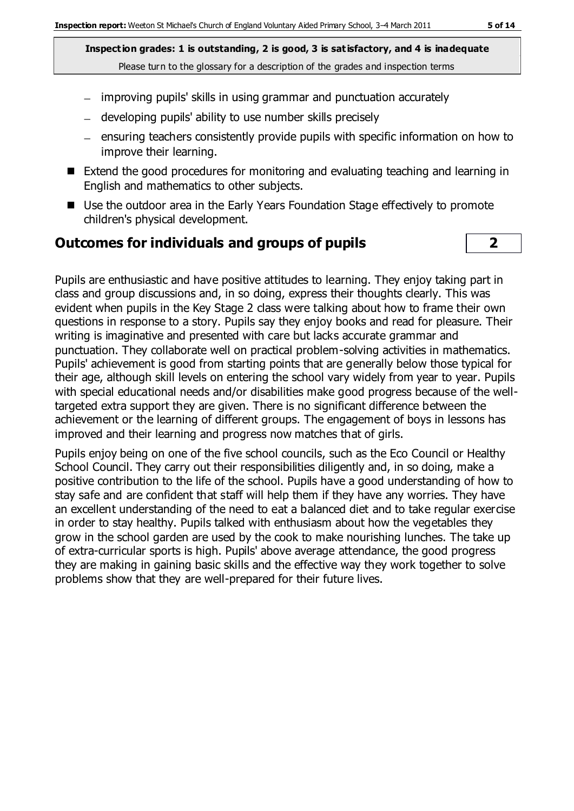**Inspection grades: 1 is outstanding, 2 is good, 3 is satisfactory, and 4 is inadequate**

- Please turn to the glossary for a description of the grades and inspection terms
- improving pupils' skills in using grammar and punctuation accurately
- developing pupils' ability to use number skills precisely
- ensuring teachers consistently provide pupils with specific information on how to improve their learning.
- Extend the good procedures for monitoring and evaluating teaching and learning in English and mathematics to other subjects.
- Use the outdoor area in the Early Years Foundation Stage effectively to promote children's physical development.

### **Outcomes for individuals and groups of pupils 2**

Pupils are enthusiastic and have positive attitudes to learning. They enjoy taking part in class and group discussions and, in so doing, express their thoughts clearly. This was evident when pupils in the Key Stage 2 class were talking about how to frame their own questions in response to a story. Pupils say they enjoy books and read for pleasure. Their writing is imaginative and presented with care but lacks accurate grammar and punctuation. They collaborate well on practical problem-solving activities in mathematics. Pupils' achievement is good from starting points that are generally below those typical for their age, although skill levels on entering the school vary widely from year to year. Pupils with special educational needs and/or disabilities make good progress because of the welltargeted extra support they are given. There is no significant difference between the achievement or the learning of different groups. The engagement of boys in lessons has improved and their learning and progress now matches that of girls.

Pupils enjoy being on one of the five school councils, such as the Eco Council or Healthy School Council. They carry out their responsibilities diligently and, in so doing, make a positive contribution to the life of the school. Pupils have a good understanding of how to stay safe and are confident that staff will help them if they have any worries. They have an excellent understanding of the need to eat a balanced diet and to take regular exercise in order to stay healthy. Pupils talked with enthusiasm about how the vegetables they grow in the school garden are used by the cook to make nourishing lunches. The take up of extra-curricular sports is high. Pupils' above average attendance, the good progress they are making in gaining basic skills and the effective way they work together to solve problems show that they are well-prepared for their future lives.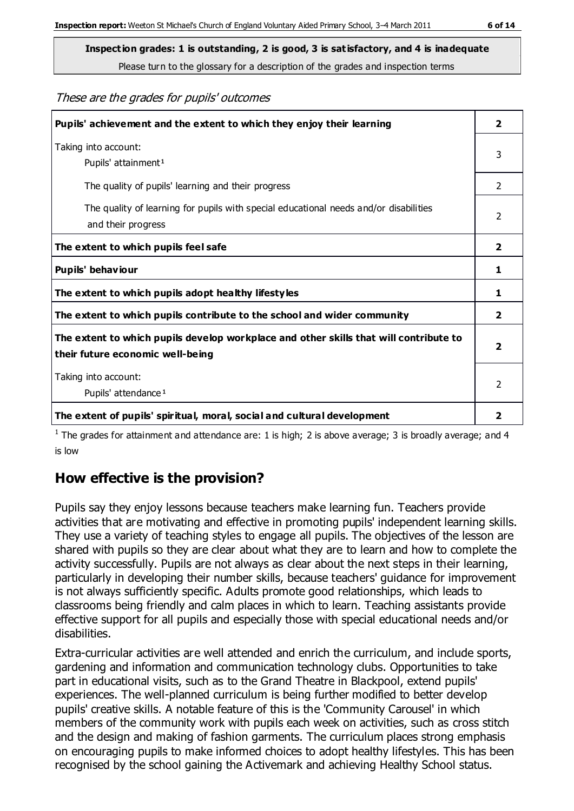**Inspection grades: 1 is outstanding, 2 is good, 3 is satisfactory, and 4 is inadequate** Please turn to the glossary for a description of the grades and inspection terms

These are the grades for pupils' outcomes

| Pupils' achievement and the extent to which they enjoy their learning                                                     | $\overline{2}$ |
|---------------------------------------------------------------------------------------------------------------------------|----------------|
| Taking into account:<br>Pupils' attainment <sup>1</sup>                                                                   | 3              |
| The quality of pupils' learning and their progress                                                                        | $\mathcal{P}$  |
| The quality of learning for pupils with special educational needs and/or disabilities<br>and their progress               | $\mathcal{P}$  |
| The extent to which pupils feel safe                                                                                      | $\overline{2}$ |
| Pupils' behaviour                                                                                                         | 1              |
| The extent to which pupils adopt healthy lifestyles                                                                       | 1              |
| The extent to which pupils contribute to the school and wider community                                                   | $\overline{2}$ |
| The extent to which pupils develop workplace and other skills that will contribute to<br>their future economic well-being | $\overline{2}$ |
| Taking into account:<br>Pupils' attendance <sup>1</sup>                                                                   | $\mathcal{P}$  |
| The extent of pupils' spiritual, moral, social and cultural development                                                   | 2              |

<sup>1</sup> The grades for attainment and attendance are: 1 is high; 2 is above average; 3 is broadly average; and 4 is low

### **How effective is the provision?**

Pupils say they enjoy lessons because teachers make learning fun. Teachers provide activities that are motivating and effective in promoting pupils' independent learning skills. They use a variety of teaching styles to engage all pupils. The objectives of the lesson are shared with pupils so they are clear about what they are to learn and how to complete the activity successfully. Pupils are not always as clear about the next steps in their learning, particularly in developing their number skills, because teachers' guidance for improvement is not always sufficiently specific. Adults promote good relationships, which leads to classrooms being friendly and calm places in which to learn. Teaching assistants provide effective support for all pupils and especially those with special educational needs and/or disabilities.

Extra-curricular activities are well attended and enrich the curriculum, and include sports, gardening and information and communication technology clubs. Opportunities to take part in educational visits, such as to the Grand Theatre in Blackpool, extend pupils' experiences. The well-planned curriculum is being further modified to better develop pupils' creative skills. A notable feature of this is the 'Community Carousel' in which members of the community work with pupils each week on activities, such as cross stitch and the design and making of fashion garments. The curriculum places strong emphasis on encouraging pupils to make informed choices to adopt healthy lifestyles. This has been recognised by the school gaining the Activemark and achieving Healthy School status.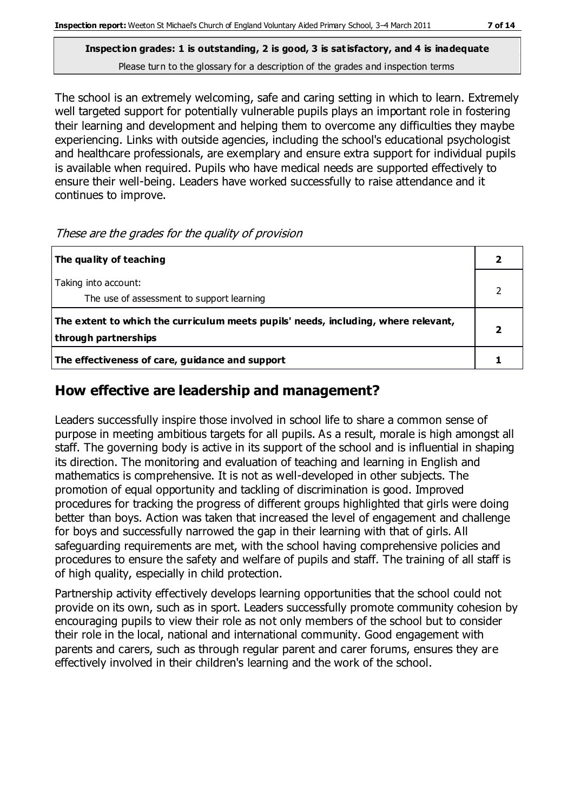The school is an extremely welcoming, safe and caring setting in which to learn. Extremely well targeted support for potentially vulnerable pupils plays an important role in fostering their learning and development and helping them to overcome any difficulties they maybe experiencing. Links with outside agencies, including the school's educational psychologist and healthcare professionals, are exemplary and ensure extra support for individual pupils is available when required. Pupils who have medical needs are supported effectively to ensure their well-being. Leaders have worked successfully to raise attendance and it continues to improve.

These are the grades for the quality of provision

| The quality of teaching                                                                                    |   |
|------------------------------------------------------------------------------------------------------------|---|
| Taking into account:<br>The use of assessment to support learning                                          |   |
| The extent to which the curriculum meets pupils' needs, including, where relevant,<br>through partnerships | 2 |
| The effectiveness of care, guidance and support                                                            |   |

### **How effective are leadership and management?**

Leaders successfully inspire those involved in school life to share a common sense of purpose in meeting ambitious targets for all pupils. As a result, morale is high amongst all staff. The governing body is active in its support of the school and is influential in shaping its direction. The monitoring and evaluation of teaching and learning in English and mathematics is comprehensive. It is not as well-developed in other subjects. The promotion of equal opportunity and tackling of discrimination is good. Improved procedures for tracking the progress of different groups highlighted that girls were doing better than boys. Action was taken that increased the level of engagement and challenge for boys and successfully narrowed the gap in their learning with that of girls. All safeguarding requirements are met, with the school having comprehensive policies and procedures to ensure the safety and welfare of pupils and staff. The training of all staff is of high quality, especially in child protection.

Partnership activity effectively develops learning opportunities that the school could not provide on its own, such as in sport. Leaders successfully promote community cohesion by encouraging pupils to view their role as not only members of the school but to consider their role in the local, national and international community. Good engagement with parents and carers, such as through regular parent and carer forums, ensures they are effectively involved in their children's learning and the work of the school.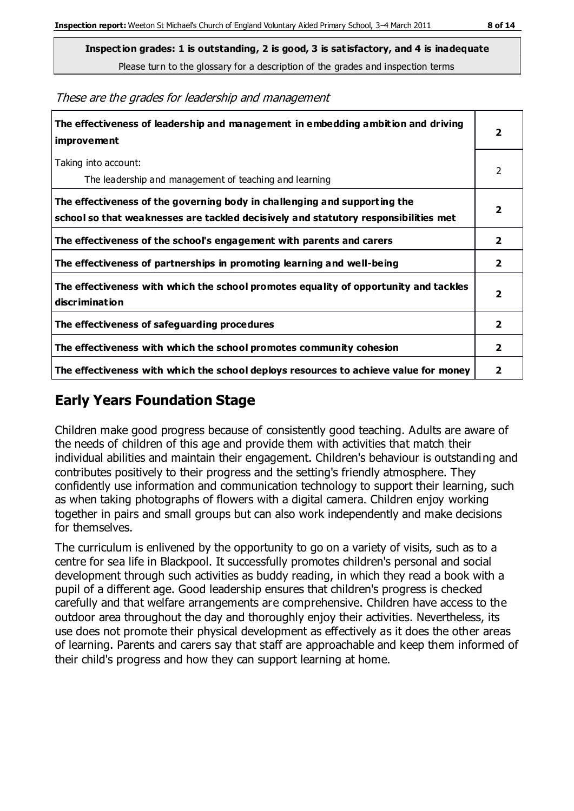**Inspection grades: 1 is outstanding, 2 is good, 3 is satisfactory, and 4 is inadequate** Please turn to the glossary for a description of the grades and inspection terms

These are the grades for leadership and management

| The effectiveness of leadership and management in embedding ambition and driving<br>improvement                                                                  | $\overline{\mathbf{2}}$ |
|------------------------------------------------------------------------------------------------------------------------------------------------------------------|-------------------------|
| Taking into account:<br>The leadership and management of teaching and learning                                                                                   | 2                       |
| The effectiveness of the governing body in challenging and supporting the<br>school so that weaknesses are tackled decisively and statutory responsibilities met | $\overline{2}$          |
| The effectiveness of the school's engagement with parents and carers                                                                                             | $\mathbf{2}$            |
| The effectiveness of partnerships in promoting learning and well-being                                                                                           | $\overline{2}$          |
| The effectiveness with which the school promotes equality of opportunity and tackles<br>discrimination                                                           | $\overline{\mathbf{2}}$ |
| The effectiveness of safeguarding procedures                                                                                                                     | $\overline{2}$          |
| The effectiveness with which the school promotes community cohesion                                                                                              | $\mathbf{2}$            |
| The effectiveness with which the school deploys resources to achieve value for money                                                                             | 2                       |

## **Early Years Foundation Stage**

Children make good progress because of consistently good teaching. Adults are aware of the needs of children of this age and provide them with activities that match their individual abilities and maintain their engagement. Children's behaviour is outstanding and contributes positively to their progress and the setting's friendly atmosphere. They confidently use information and communication technology to support their learning, such as when taking photographs of flowers with a digital camera. Children enjoy working together in pairs and small groups but can also work independently and make decisions for themselves.

The curriculum is enlivened by the opportunity to go on a variety of visits, such as to a centre for sea life in Blackpool. It successfully promotes children's personal and social development through such activities as buddy reading, in which they read a book with a pupil of a different age. Good leadership ensures that children's progress is checked carefully and that welfare arrangements are comprehensive. Children have access to the outdoor area throughout the day and thoroughly enjoy their activities. Nevertheless, its use does not promote their physical development as effectively as it does the other areas of learning. Parents and carers say that staff are approachable and keep them informed of their child's progress and how they can support learning at home.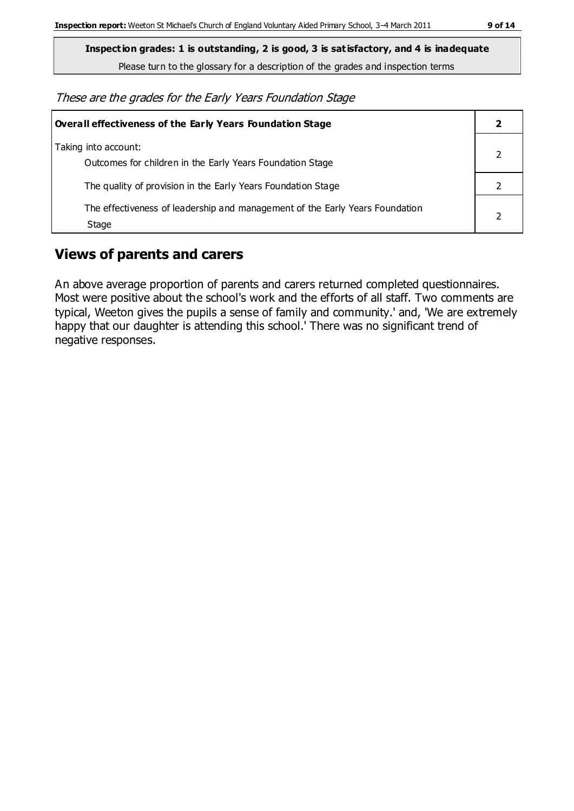**Inspection grades: 1 is outstanding, 2 is good, 3 is satisfactory, and 4 is inadequate**

Please turn to the glossary for a description of the grades and inspection terms

These are the grades for the Early Years Foundation Stage

| Overall effectiveness of the Early Years Foundation Stage                             |  |
|---------------------------------------------------------------------------------------|--|
| Taking into account:<br>Outcomes for children in the Early Years Foundation Stage     |  |
| The quality of provision in the Early Years Foundation Stage                          |  |
| The effectiveness of leadership and management of the Early Years Foundation<br>Stage |  |

### **Views of parents and carers**

An above average proportion of parents and carers returned completed questionnaires. Most were positive about the school's work and the efforts of all staff. Two comments are typical, Weeton gives the pupils a sense of family and community.' and, 'We are extremely happy that our daughter is attending this school.' There was no significant trend of negative responses.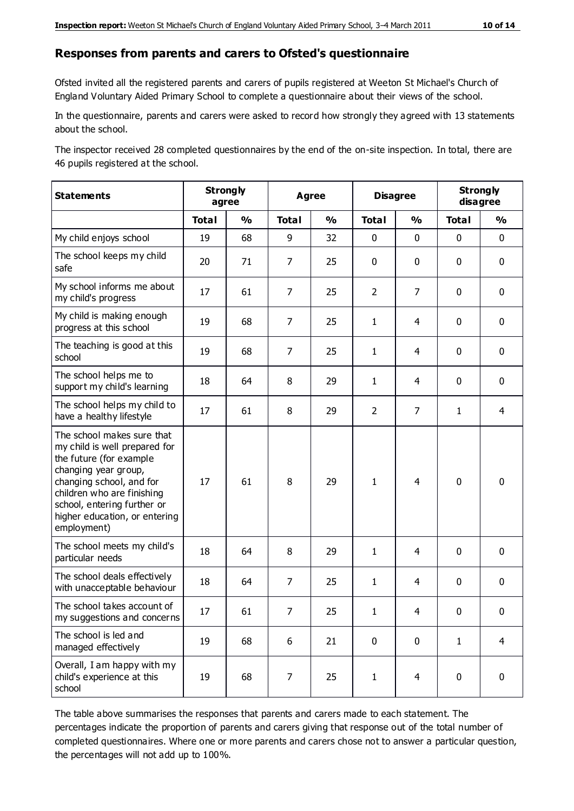#### **Responses from parents and carers to Ofsted's questionnaire**

Ofsted invited all the registered parents and carers of pupils registered at Weeton St Michael's Church of England Voluntary Aided Primary School to complete a questionnaire about their views of the school.

In the questionnaire, parents and carers were asked to record how strongly they agreed with 13 statements about the school.

The inspector received 28 completed questionnaires by the end of the on-site inspection. In total, there are 46 pupils registered at the school.

| <b>Statements</b>                                                                                                                                                                                                                                       |              | <b>Strongly</b><br>agree |                | <b>Agree</b>  |                | <b>Disagree</b> |              | <b>Strongly</b><br>disagree |  |
|---------------------------------------------------------------------------------------------------------------------------------------------------------------------------------------------------------------------------------------------------------|--------------|--------------------------|----------------|---------------|----------------|-----------------|--------------|-----------------------------|--|
|                                                                                                                                                                                                                                                         | <b>Total</b> | $\frac{0}{0}$            | <b>Total</b>   | $\frac{0}{0}$ | <b>Total</b>   | $\frac{0}{0}$   | <b>Total</b> | $\frac{0}{0}$               |  |
| My child enjoys school                                                                                                                                                                                                                                  | 19           | 68                       | 9              | 32            | 0              | $\mathbf 0$     | 0            | $\mathbf 0$                 |  |
| The school keeps my child<br>safe                                                                                                                                                                                                                       | 20           | 71                       | 7              | 25            | 0              | $\mathbf 0$     | $\mathbf 0$  | $\mathbf 0$                 |  |
| My school informs me about<br>my child's progress                                                                                                                                                                                                       | 17           | 61                       | $\overline{7}$ | 25            | $\overline{2}$ | $\overline{7}$  | $\mathbf 0$  | $\mathbf 0$                 |  |
| My child is making enough<br>progress at this school                                                                                                                                                                                                    | 19           | 68                       | $\overline{7}$ | 25            | $\mathbf{1}$   | 4               | $\mathbf 0$  | $\mathbf 0$                 |  |
| The teaching is good at this<br>school                                                                                                                                                                                                                  | 19           | 68                       | 7              | 25            | $\mathbf{1}$   | 4               | $\mathbf 0$  | $\mathbf 0$                 |  |
| The school helps me to<br>support my child's learning                                                                                                                                                                                                   | 18           | 64                       | 8              | 29            | $\mathbf{1}$   | 4               | $\mathbf 0$  | $\mathbf 0$                 |  |
| The school helps my child to<br>have a healthy lifestyle                                                                                                                                                                                                | 17           | 61                       | 8              | 29            | $\overline{2}$ | $\overline{7}$  | $\mathbf{1}$ | 4                           |  |
| The school makes sure that<br>my child is well prepared for<br>the future (for example<br>changing year group,<br>changing school, and for<br>children who are finishing<br>school, entering further or<br>higher education, or entering<br>employment) | 17           | 61                       | 8              | 29            | $\mathbf{1}$   | 4               | $\mathbf 0$  | $\mathbf 0$                 |  |
| The school meets my child's<br>particular needs                                                                                                                                                                                                         | 18           | 64                       | 8              | 29            | $\mathbf{1}$   | 4               | $\mathbf 0$  | $\mathbf 0$                 |  |
| The school deals effectively<br>with unacceptable behaviour                                                                                                                                                                                             | 18           | 64                       | $\overline{7}$ | 25            | $\mathbf{1}$   | 4               | $\mathbf 0$  | $\mathbf 0$                 |  |
| The school takes account of<br>my suggestions and concerns                                                                                                                                                                                              | 17           | 61                       | 7              | 25            | 1              | 4               | 0            | 0                           |  |
| The school is led and<br>managed effectively                                                                                                                                                                                                            | 19           | 68                       | 6              | 21            | $\pmb{0}$      | $\mathbf 0$     | $\mathbf{1}$ | $\overline{4}$              |  |
| Overall, I am happy with my<br>child's experience at this<br>school                                                                                                                                                                                     | 19           | 68                       | 7              | 25            | $\mathbf{1}$   | $\overline{4}$  | $\pmb{0}$    | $\pmb{0}$                   |  |

The table above summarises the responses that parents and carers made to each statement. The percentages indicate the proportion of parents and carers giving that response out of the total number of completed questionnaires. Where one or more parents and carers chose not to answer a particular question, the percentages will not add up to 100%.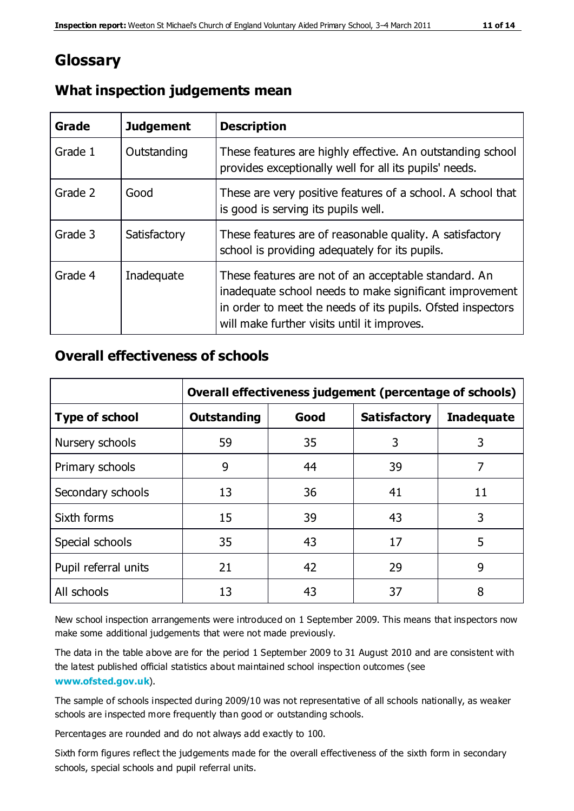## **Glossary**

| Grade   | <b>Judgement</b> | <b>Description</b>                                                                                                                                                                                                            |
|---------|------------------|-------------------------------------------------------------------------------------------------------------------------------------------------------------------------------------------------------------------------------|
| Grade 1 | Outstanding      | These features are highly effective. An outstanding school<br>provides exceptionally well for all its pupils' needs.                                                                                                          |
| Grade 2 | Good             | These are very positive features of a school. A school that<br>is good is serving its pupils well.                                                                                                                            |
| Grade 3 | Satisfactory     | These features are of reasonable quality. A satisfactory<br>school is providing adequately for its pupils.                                                                                                                    |
| Grade 4 | Inadequate       | These features are not of an acceptable standard. An<br>inadequate school needs to make significant improvement<br>in order to meet the needs of its pupils. Ofsted inspectors<br>will make further visits until it improves. |

#### **What inspection judgements mean**

#### **Overall effectiveness of schools**

|                       | Overall effectiveness judgement (percentage of schools) |      |                     |                   |
|-----------------------|---------------------------------------------------------|------|---------------------|-------------------|
| <b>Type of school</b> | <b>Outstanding</b>                                      | Good | <b>Satisfactory</b> | <b>Inadequate</b> |
| Nursery schools       | 59                                                      | 35   | 3                   | 3                 |
| Primary schools       | 9                                                       | 44   | 39                  | 7                 |
| Secondary schools     | 13                                                      | 36   | 41                  | 11                |
| Sixth forms           | 15                                                      | 39   | 43                  | 3                 |
| Special schools       | 35                                                      | 43   | 17                  | 5                 |
| Pupil referral units  | 21                                                      | 42   | 29                  | 9                 |
| All schools           | 13                                                      | 43   | 37                  | 8                 |

New school inspection arrangements were introduced on 1 September 2009. This means that inspectors now make some additional judgements that were not made previously.

The data in the table above are for the period 1 September 2009 to 31 August 2010 and are consistent with the latest published official statistics about maintained school inspection outcomes (see **[www.ofsted.gov.uk](http://www.ofsted.gov.uk/)**).

The sample of schools inspected during 2009/10 was not representative of all schools nationally, as weaker schools are inspected more frequently than good or outstanding schools.

Percentages are rounded and do not always add exactly to 100.

Sixth form figures reflect the judgements made for the overall effectiveness of the sixth form in secondary schools, special schools and pupil referral units.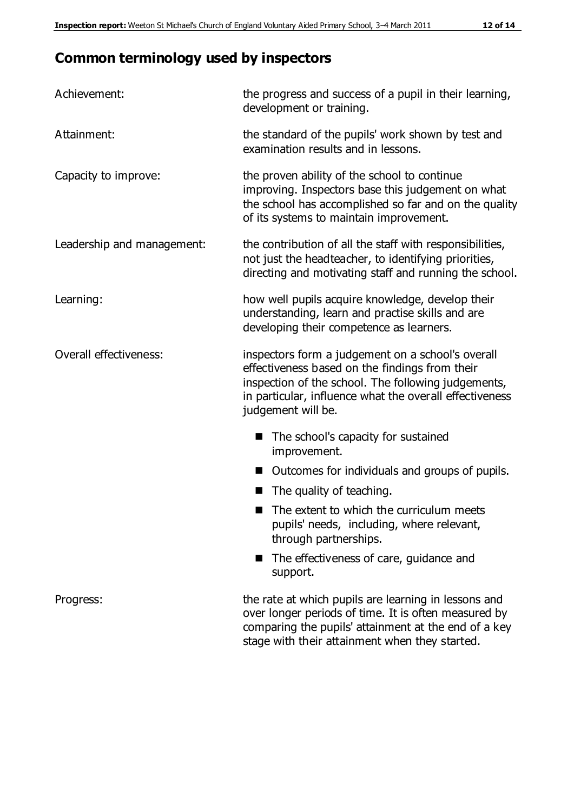## **Common terminology used by inspectors**

| Achievement:               | the progress and success of a pupil in their learning,<br>development or training.                                                                                                                                                          |
|----------------------------|---------------------------------------------------------------------------------------------------------------------------------------------------------------------------------------------------------------------------------------------|
| Attainment:                | the standard of the pupils' work shown by test and<br>examination results and in lessons.                                                                                                                                                   |
| Capacity to improve:       | the proven ability of the school to continue<br>improving. Inspectors base this judgement on what<br>the school has accomplished so far and on the quality<br>of its systems to maintain improvement.                                       |
| Leadership and management: | the contribution of all the staff with responsibilities,<br>not just the headteacher, to identifying priorities,<br>directing and motivating staff and running the school.                                                                  |
| Learning:                  | how well pupils acquire knowledge, develop their<br>understanding, learn and practise skills and are<br>developing their competence as learners.                                                                                            |
| Overall effectiveness:     | inspectors form a judgement on a school's overall<br>effectiveness based on the findings from their<br>inspection of the school. The following judgements,<br>in particular, influence what the overall effectiveness<br>judgement will be. |
|                            | The school's capacity for sustained<br>improvement.                                                                                                                                                                                         |
|                            | Outcomes for individuals and groups of pupils.                                                                                                                                                                                              |
|                            | The quality of teaching.                                                                                                                                                                                                                    |
|                            | The extent to which the curriculum meets<br>pupils' needs, including, where relevant,<br>through partnerships.                                                                                                                              |
|                            | The effectiveness of care, guidance and<br>support.                                                                                                                                                                                         |
| Progress:                  | the rate at which pupils are learning in lessons and<br>over longer periods of time. It is often measured by<br>comparing the pupils' attainment at the end of a key                                                                        |

stage with their attainment when they started.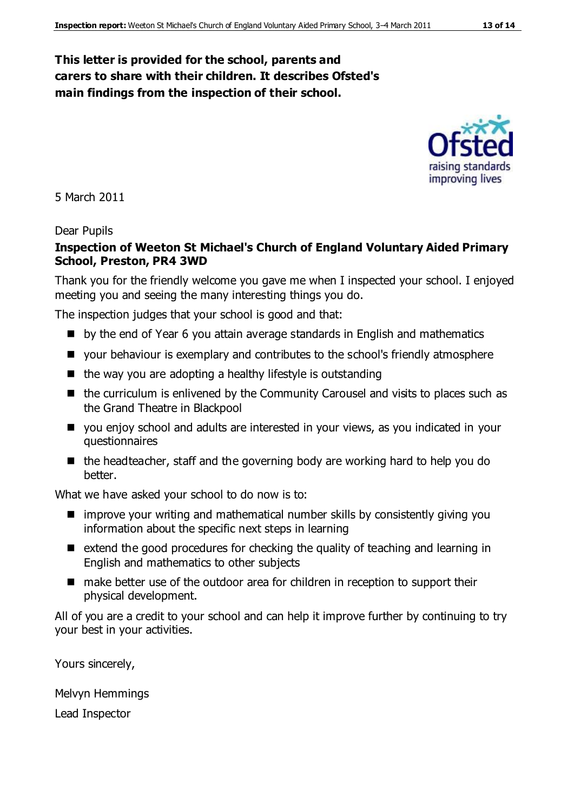#### **This letter is provided for the school, parents and carers to share with their children. It describes Ofsted's main findings from the inspection of their school.**



5 March 2011

#### Dear Pupils

#### **Inspection of Weeton St Michael's Church of England Voluntary Aided Primary School, Preston, PR4 3WD**

Thank you for the friendly welcome you gave me when I inspected your school. I enjoyed meeting you and seeing the many interesting things you do.

The inspection judges that your school is good and that:

- **D** by the end of Year 6 you attain average standards in English and mathematics
- your behaviour is exemplary and contributes to the school's friendly atmosphere
- $\blacksquare$  the way you are adopting a healthy lifestyle is outstanding
- $\blacksquare$  the curriculum is enlivened by the Community Carousel and visits to places such as the Grand Theatre in Blackpool
- you enjoy school and adults are interested in your views, as you indicated in your questionnaires
- $\blacksquare$  the headteacher, staff and the governing body are working hard to help you do better.

What we have asked your school to do now is to:

- $\blacksquare$  improve your writing and mathematical number skills by consistently giving you information about the specific next steps in learning
- $\blacksquare$  extend the good procedures for checking the quality of teaching and learning in English and mathematics to other subjects
- make better use of the outdoor area for children in reception to support their physical development.

All of you are a credit to your school and can help it improve further by continuing to try your best in your activities.

Yours sincerely,

Melvyn Hemmings

Lead Inspector